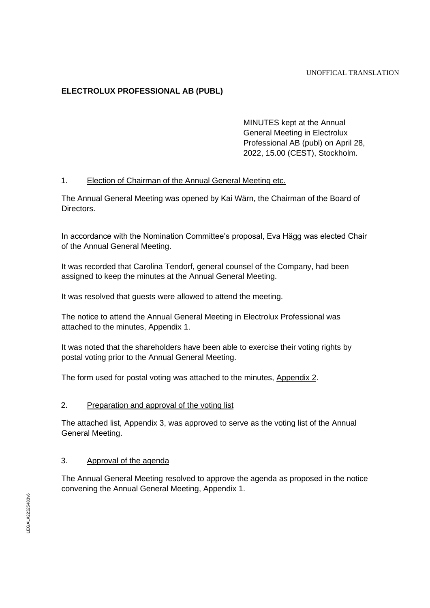#### UNOFFICAL TRANSLATION

# **ELECTROLUX PROFESSIONAL AB (PUBL)**

MINUTES kept at the Annual General Meeting in Electrolux Professional AB (publ) on April 28, 2022, 15.00 (CEST), Stockholm.

## 1. Election of Chairman of the Annual General Meeting etc.

The Annual General Meeting was opened by Kai Wärn, the Chairman of the Board of Directors.

In accordance with the Nomination Committee's proposal, Eva Hägg was elected Chair of the Annual General Meeting.

It was recorded that Carolina Tendorf, general counsel of the Company, had been assigned to keep the minutes at the Annual General Meeting.

It was resolved that guests were allowed to attend the meeting.

The notice to attend the Annual General Meeting in Electrolux Professional was attached to the minutes, Appendix 1.

It was noted that the shareholders have been able to exercise their voting rights by postal voting prior to the Annual General Meeting.

The form used for postal voting was attached to the minutes, Appendix 2.

### 2. Preparation and approval of the voting list

The attached list, Appendix 3, was approved to serve as the voting list of the Annual General Meeting.

### 3. Approval of the agenda

The Annual General Meeting resolved to approve the agenda as proposed in the notice convening the Annual General Meeting, Appendix 1.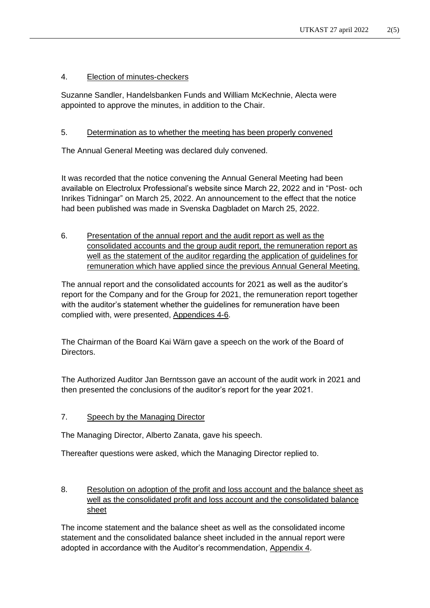### 4. Election of minutes-checkers

Suzanne Sandler, Handelsbanken Funds and William McKechnie, Alecta were appointed to approve the minutes, in addition to the Chair.

### 5. Determination as to whether the meeting has been properly convened

The Annual General Meeting was declared duly convened.

It was recorded that the notice convening the Annual General Meeting had been available on Electrolux Professional's website since March 22, 2022 and in "Post- och Inrikes Tidningar" on March 25, 2022. An announcement to the effect that the notice had been published was made in Svenska Dagbladet on March 25, 2022.

6. Presentation of the annual report and the audit report as well as the consolidated accounts and the group audit report, the remuneration report as well as the statement of the auditor regarding the application of guidelines for remuneration which have applied since the previous Annual General Meeting.

The annual report and the consolidated accounts for 2021 as well as the auditor's report for the Company and for the Group for 2021, the remuneration report together with the auditor's statement whether the guidelines for remuneration have been complied with, were presented, Appendices 4-6.

The Chairman of the Board Kai Wärn gave a speech on the work of the Board of Directors.

The Authorized Auditor Jan Berntsson gave an account of the audit work in 2021 and then presented the conclusions of the auditor's report for the year 2021.

### 7. Speech by the Managing Director

The Managing Director, Alberto Zanata, gave his speech.

Thereafter questions were asked, which the Managing Director replied to.

## 8. Resolution on adoption of the profit and loss account and the balance sheet as well as the consolidated profit and loss account and the consolidated balance sheet

The income statement and the balance sheet as well as the consolidated income statement and the consolidated balance sheet included in the annual report were adopted in accordance with the Auditor's recommendation, Appendix 4.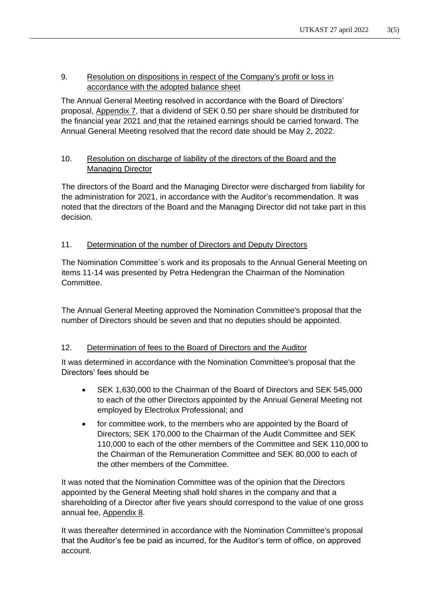## 9. Resolution on dispositions in respect of the Company's profit or loss in accordance with the adopted balance sheet

The Annual General Meeting resolved in accordance with the Board of Directors' proposal, Appendix 7, that a dividend of SEK 0.50 per share should be distributed for the financial year 2021 and that the retained earnings should be carried forward. The Annual General Meeting resolved that the record date should be May 2, 2022.

# 10. Resolution on discharge of liability of the directors of the Board and the Managing Director

The directors of the Board and the Managing Director were discharged from liability for the administration for 2021, in accordance with the Auditor's recommendation. It was noted that the directors of the Board and the Managing Director did not take part in this decision.

## 11. Determination of the number of Directors and Deputy Directors

The Nomination Committee´s work and its proposals to the Annual General Meeting on items 11-14 was presented by Petra Hedengran the Chairman of the Nomination Committee.

The Annual General Meeting approved the Nomination Committee's proposal that the number of Directors should be seven and that no deputies should be appointed.

### 12. Determination of fees to the Board of Directors and the Auditor

It was determined in accordance with the Nomination Committee's proposal that the Directors' fees should be

- SEK 1,630,000 to the Chairman of the Board of Directors and SEK 545,000 to each of the other Directors appointed by the Annual General Meeting not employed by Electrolux Professional; and
- for committee work, to the members who are appointed by the Board of Directors; SEK 170,000 to the Chairman of the Audit Committee and SEK 110,000 to each of the other members of the Committee and SEK 110,000 to the Chairman of the Remuneration Committee and SEK 80,000 to each of the other members of the Committee.

It was noted that the Nomination Committee was of the opinion that the Directors appointed by the General Meeting shall hold shares in the company and that a shareholding of a Director after five years should correspond to the value of one gross annual fee, Appendix 8.

It was thereafter determined in accordance with the Nomination Committee's proposal that the Auditor's fee be paid as incurred, for the Auditor's term of office, on approved account.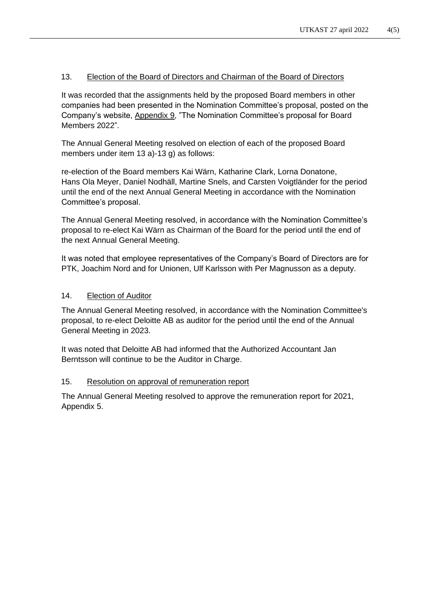### 13. Election of the Board of Directors and Chairman of the Board of Directors

It was recorded that the assignments held by the proposed Board members in other companies had been presented in the Nomination Committee's proposal, posted on the Company's website, Appendix 9, "The Nomination Committee's proposal for Board Members 2022".

The Annual General Meeting resolved on election of each of the proposed Board members under item 13 a)-13 g) as follows:

re-election of the Board members Kai Wärn, Katharine Clark, Lorna Donatone, Hans Ola Meyer, Daniel Nodhäll, Martine Snels, and Carsten Voigtländer for the period until the end of the next Annual General Meeting in accordance with the Nomination Committee's proposal.

The Annual General Meeting resolved, in accordance with the Nomination Committee's proposal to re-elect Kai Wärn as Chairman of the Board for the period until the end of the next Annual General Meeting.

It was noted that employee representatives of the Company's Board of Directors are for PTK, Joachim Nord and for Unionen, Ulf Karlsson with Per Magnusson as a deputy.

### 14. Election of Auditor

The Annual General Meeting resolved, in accordance with the Nomination Committee's proposal, to re-elect Deloitte AB as auditor for the period until the end of the Annual General Meeting in 2023.

It was noted that Deloitte AB had informed that the Authorized Accountant Jan Berntsson will continue to be the Auditor in Charge.

### 15. Resolution on approval of remuneration report

The Annual General Meeting resolved to approve the remuneration report for 2021, Appendix 5.